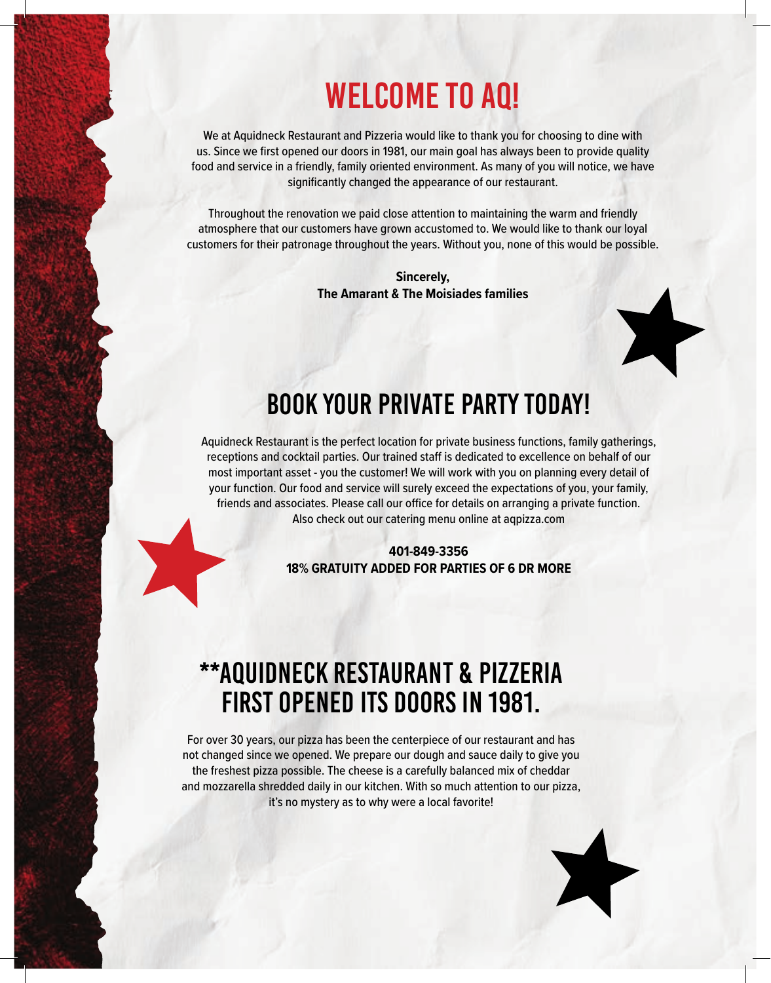### WELCOME TO AQ!

We at Aquidneck Restaurant and Pizzeria would like to thank you for choosing to dine with us. Since we first opened our doors in 1981, our main goal has always been to provide quality food and service in a friendly, family oriented environment. As many of you will notice, we have significantly changed the appearance of our restaurant.

Throughout the renovation we paid close attention to maintaining the warm and friendly atmosphere that our customers have grown accustomed to. We would like to thank our loyal customers for their patronage throughout the years. Without you, none of this would be possible.

> **Sincerely, The Amarant & The Moisiades families**



Aquidneck Restaurant is the perfect location for private business functions, family gatherings, receptions and cocktail parties. Our trained staff is dedicated to excellence on behalf of our most important asset - you the customer! We will work with you on planning every detail of your function. Our food and service will surely exceed the expectations of you, your family, friends and associates. Please call our office for details on arranging a private function. Also check out our catering menu online at aqpizza.com

> **401-849-3356 18% GRATUITY ADDED FOR PARTIES OF 6 DR MORE**

### \*\*AQUIDNECK RESTAURANT & PIZZERIA FIRST OPENED ITS DOORS IN 1981.

For over 30 years, our pizza has been the centerpiece of our restaurant and has not changed since we opened. We prepare our dough and sauce daily to give you the freshest pizza possible. The cheese is a carefully balanced mix of cheddar and mozzarella shredded daily in our kitchen. With so much attention to our pizza, it's no mystery as to why were a local favorite!

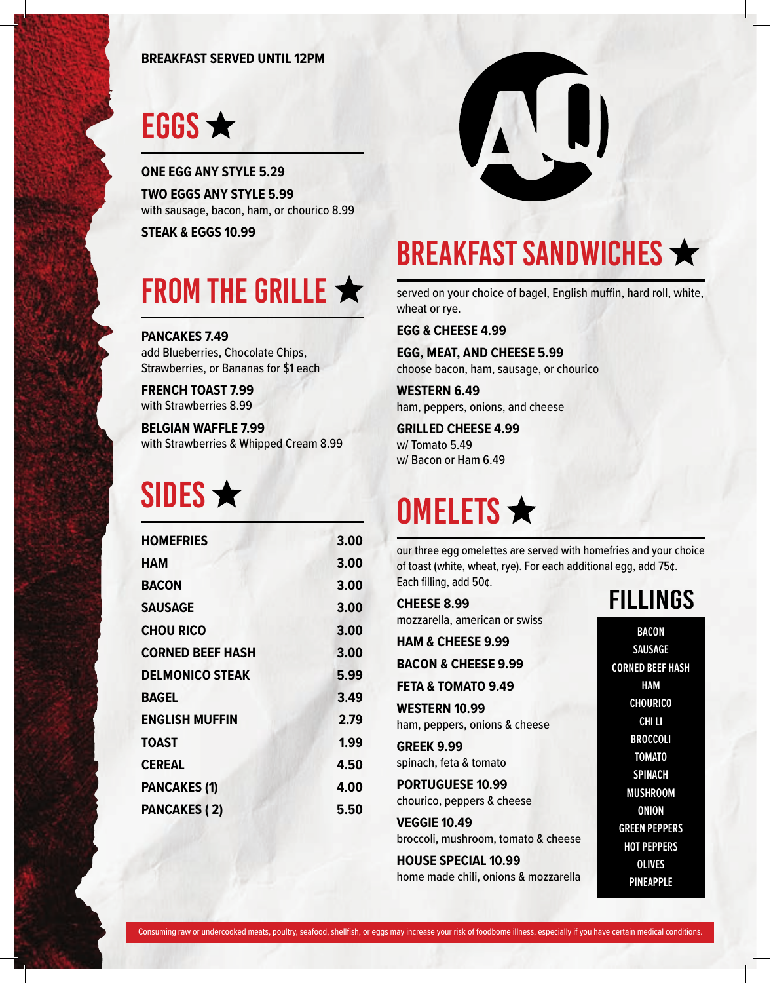#### **BREAKFAST SERVED UNTIL 12PM**

# EGGS  $\bigstar$

**ONE EGG ANY STYLE 5.29 TWO EGGS ANY STYLE 5.99** with sausage, bacon, ham, or chourico 8.99

**STEAK & EGGS 10.99**

# FROM THE GRILLE  $\bigstar$

**PANCAKES 7.49** add Blueberries, Chocolate Chips, Strawberries, or Bananas for \$1 each

**FRENCH TOAST 7.99** with Strawberries 8.99

**BELGIAN WAFFLE 7.99** with Strawberries & Whipped Cream 8.99

# SIDES  $\bigstar$

| <b>HOMEFRIES</b>        | 3.00 |
|-------------------------|------|
| HAM                     | 3.00 |
| <b>BACON</b>            | 3.00 |
| <b>SAUSAGE</b>          | 3.00 |
| <b>CHOU RICO</b>        | 3.00 |
| <b>CORNED BEEF HASH</b> | 3.00 |
| <b>DELMONICO STEAK</b>  | 5.99 |
| <b>BAGEL</b>            | 3.49 |
| <b>ENGLISH MUFFIN</b>   | 2.79 |
| <b>TOAST</b>            | 1.99 |
| <b>CEREAL</b>           | 4.50 |
| <b>PANCAKES (1)</b>     | 4.00 |
| <b>PANCAKES (2)</b>     | 5.50 |
|                         |      |



### BREAKFAST SANDWICHES

served on your choice of bagel, English muffin, hard roll, white, wheat or rye.

**EGG & CHEESE 4.99**

**EGG, MEAT, AND CHEESE 5.99** choose bacon, ham, sausage, or chourico

**WESTERN 6.49** ham, peppers, onions, and cheese

**GRILLED CHEESE 4.99** w/ Tomato 5.49 w/ Bacon or Ham 6.49

# **OMELETS ★**

our three egg omelettes are served with homefries and your choice of toast (white, wheat, rye). For each additional egg, add 75¢. Each filling, add 50¢.

**CHEESE 8.99** mozzarella, american or swiss

**HAM & CHEESE 9.99**

**BACON & CHEESE 9.99**

**FETA & TOMATO 9.49 WESTERN 10.99**

ham, peppers, onions & cheese

**GREEK 9.99** spinach, feta & tomato

**PORTUGUESE 10.99** chourico, peppers & cheese

**VEGGIE 10.49** broccoli, mushroom, tomato & cheese

**HOUSE SPECIAL 10.99** home made chili, onions & mozzarella

**BACON SAUSAGE CORNED BEEF HASH HAM CHOURICO CHI LI BROCCOLI TOMATO SPINACH MUSHROOM ONION GREEN PEPPERS HOT PEPPERS OLIVES PINEAPPLE**

FILLINGS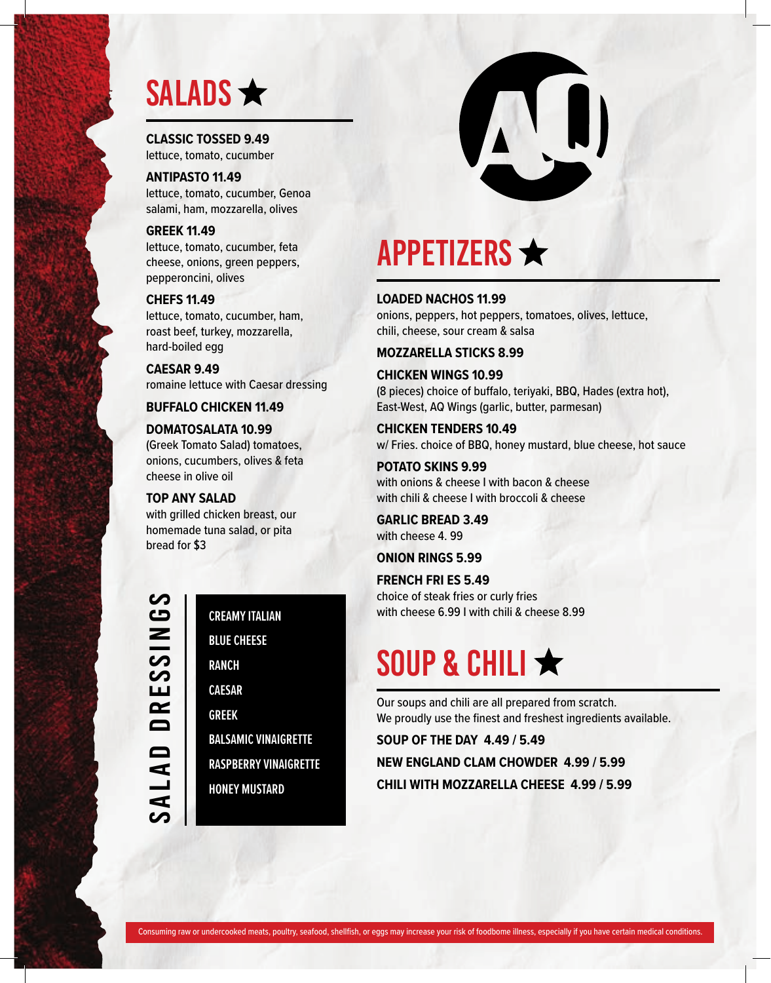### SALADS  $\bigstar$

**CLASSIC TOSSED 9.49** lettuce, tomato, cucumber

**ANTIPASTO 11.49** lettuce, tomato, cucumber, Genoa salami, ham, mozzarella, olives

**GREEK 11.49** lettuce, tomato, cucumber, feta cheese, onions, green peppers, pepperoncini, olives

### **CHEFS 11.49**

lettuce, tomato, cucumber, ham, roast beef, turkey, mozzarella, hard-boiled egg

**CAESAR 9.49** romaine lettuce with Caesar dressing

### **BUFFALO CHICKEN 11.49**

#### **DOMATOSALATA 10.99**

(Greek Tomato Salad) tomatoes, onions, cucumbers, olives & feta cheese in olive oil

**TOP ANY SALAD**

with grilled chicken breast, our homemade tuna salad, or pita bread for \$3

SALAD DRESSINGS .<br>⊇<br>— **DRESSI**  $\blacksquare$ 

### **CREAMY ITALIAN**

**BLUE CHEESE**

**RANCH**

**CAESAR**

**GREEK**

**BALSAMIC VINAIGRETTE**

**RASPBERRY VINAIGRETTE HONEY MUSTARD**



### **APPETIZERS ★**

#### **LOADED NACHOS 11.99**

onions, peppers, hot peppers, tomatoes, olives, lettuce, chili, cheese, sour cream & salsa

#### **MOZZARELLA STICKS 8.99**

**CHICKEN WINGS 10.99** (8 pieces) choice of buffalo, teriyaki, BBQ, Hades (extra hot), East-West, AQ Wings (garlic, butter, parmesan)

**CHICKEN TENDERS 10.49** w/ Fries. choice of BBQ, honey mustard, blue cheese, hot sauce

**POTATO SKINS 9.99** with onions & cheese I with bacon & cheese with chili & cheese I with broccoli & cheese

**GARLIC BREAD 3.49** with cheese 4. 99

#### **ONION RINGS 5.99**

**FRENCH FRI ES 5.49** choice of steak fries or curly fries with cheese 6.99 I with chili & cheese 8.99

### SOUP & CHILI ★

Our soups and chili are all prepared from scratch. We proudly use the finest and freshest ingredients available.

**SOUP OF THE DAY 4.49 / 5.49 NEW ENGLAND CLAM CHOWDER 4.99 / 5.99 CHILI WITH MOZZARELLA CHEESE 4.99 / 5.99**

Consuming raw or undercooked meats, poultry, seafood, shellfish, or eggs may increase your risk of foodbome illness, especially if you have certain medical conditions.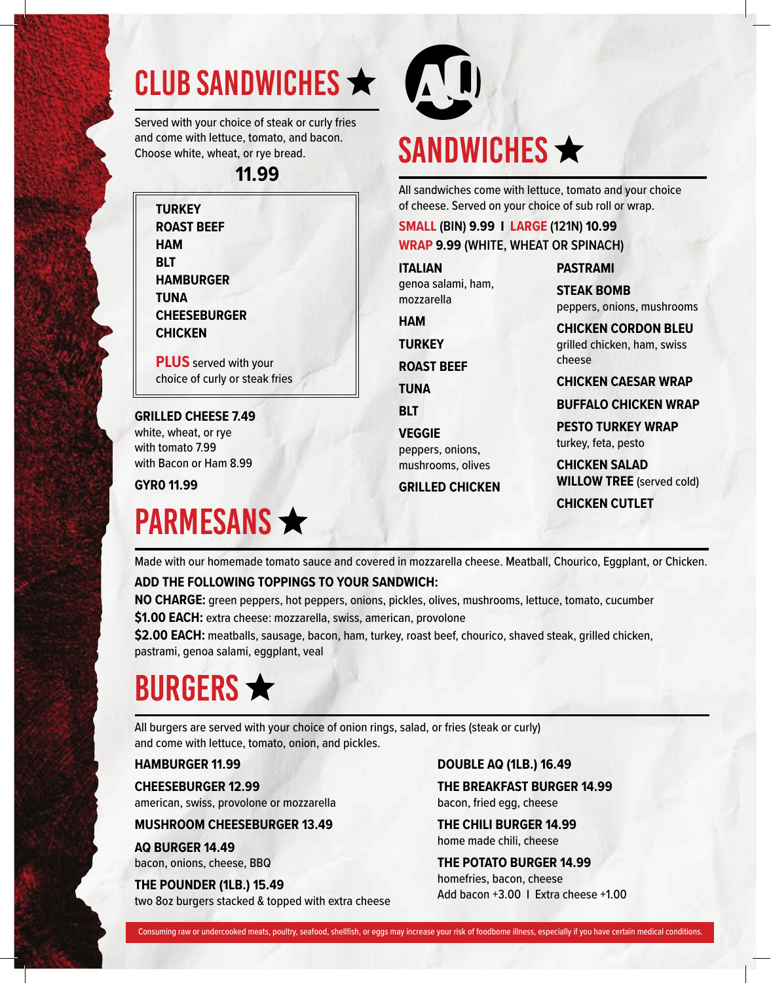# CLUB SANDWICHES  $\star$  (1)

Served with your choice of steak or curly fries and come with lettuce, tomato, and bacon. Choose white, wheat, or rye bread.

**11.99**

**TURKEY ROAST BEEF HAM BLT HAMBURGER TUNA CHEESEBURGER CHICKEN**

**PLUS** served with your choice of curly or steak fries

#### **GRILLED CHEESE 7.49**

white, wheat, or rye with tomato 7.99 with Bacon or Ham 8.99

**GYR0 11.99**

### **PARMESANS ★**



# SANDWICHES  $\bigstar$

All sandwiches come with lettuce, tomato and your choice of cheese. Served on your choice of sub roll or wrap.

### **SMALL (BIN) 9.99 I LARGE (121N) 10.99 WRAP 9.99 (WHITE, WHEAT OR SPINACH)**

**ITALIAN** genoa salami, ham, mozzarella

**HAM**

**TURKEY**

**ROAST BEEF**

**TUNA**

**BLT**

**VEGGIE** peppers, onions, mushrooms, olives

**GRILLED CHICKEN**

peppers, onions, mushrooms **CHICKEN CORDON BLEU**

**PASTRAMI STEAK BOMB**

grilled chicken, ham, swiss cheese

**CHICKEN CAESAR WRAP**

**BUFFALO CHICKEN WRAP**

**PESTO TURKEY WRAP** turkey, feta, pesto

**CHICKEN SALAD WILLOW TREE** (served cold) **CHICKEN CUTLET**

Made with our homemade tomato sauce and covered in mozzarella cheese. Meatball, Chourico, Eggplant, or Chicken.

### **ADD THE FOLLOWING TOPPINGS TO YOUR SANDWICH:**

**NO CHARGE:** green peppers, hot peppers, onions, pickles, olives, mushrooms, lettuce, tomato, cucumber **\$1.00 EACH:** extra cheese: mozzarella, swiss, american, provolone

**\$2.00 EACH:** meatballs, sausage, bacon, ham, turkey, roast beef, chourico, shaved steak, grilled chicken, pastrami, genoa salami, eggplant, veal

# BURGERS  $\bigstar$

All burgers are served with your choice of onion rings, salad, or fries (steak or curly) and come with lettuce, tomato, onion, and pickles.

### **HAMBURGER 11.99**

**CHEESEBURGER 12.99** american, swiss, provolone or mozzarella

### **MUSHROOM CHEESEBURGER 13.49**

**AQ BURGER 14.49** bacon, onions, cheese, BBQ

**THE POUNDER (1LB.) 15.49** two 8oz burgers stacked & topped with extra cheese **DOUBLE AQ (1LB.) 16.49**

**THE BREAKFAST BURGER 14.99** bacon, fried egg, cheese

**THE CHILI BURGER 14.99** home made chili, cheese

**THE POTATO BURGER 14.99** homefries, bacon, cheese Add bacon +3.00 I Extra cheese +1.00

Consuming raw or undercooked meats, poultry, seafood, shellfish, or eggs may increase your risk of foodbome illness, especially if you have certain medical conditions.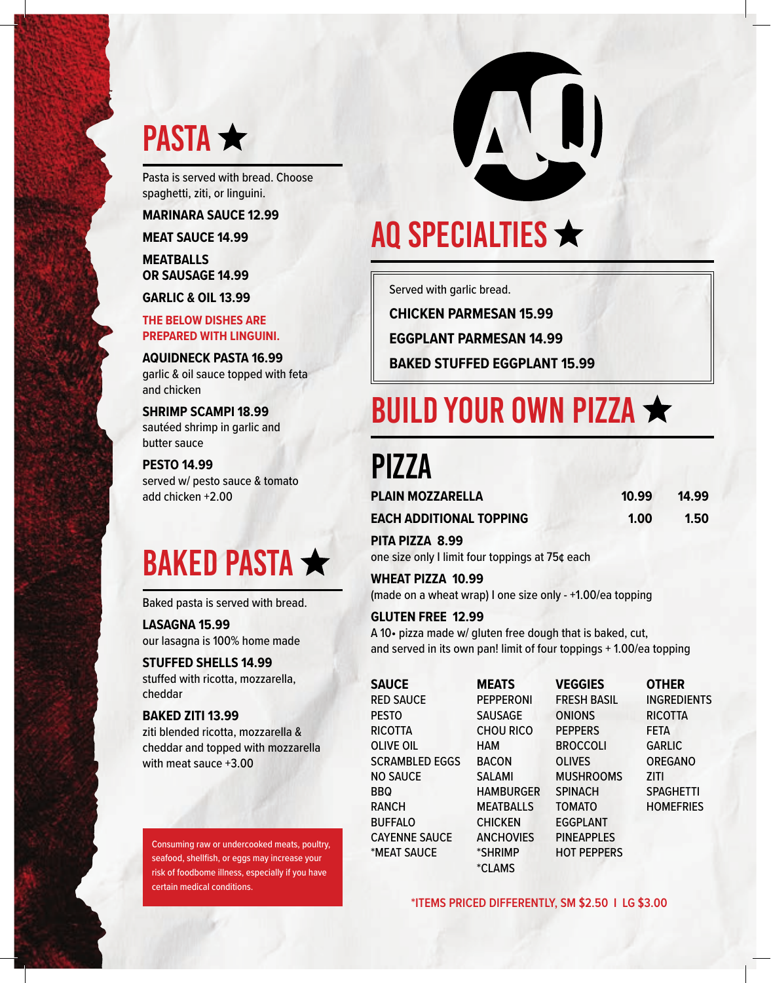

Pasta is served with bread. Choose spaghetti, ziti, or linguini.

**MARINARA SAUCE 12.99**

**MEAT SAUCE 14.99**

**MEATBALLS OR SAUSAGE 14.99**

**GARLIC & OIL 13.99**

**THE BELOW DISHES ARE PREPARED WITH LINGUINI.**

**AQUIDNECK PASTA 16.99** garlic & oil sauce topped with feta and chicken

**SHRIMP SCAMPI 18.99** sautéed shrimp in garlic and butter sauce

**PESTO 14.99** served w/ pesto sauce & tomato add chicken +2.00

# BAKED PASTA

Baked pasta is served with bread.

**LASAGNA 15.99** our lasagna is 100% home made

**STUFFED SHELLS 14.99** stuffed with ricotta, mozzarella, cheddar

#### **BAKED ZITI 13.99**

ziti blended ricotta, mozzarella & cheddar and topped with mozzarella with meat sauce +3.00

Consuming raw or undercooked meats, poultry, seafood, shellfish, or eggs may increase your risk of foodbome illness, especially if you have certain medical conditions.



# AQ SPECIALTIES  $\bigstar$

Served with garlic bread.

**CHICKEN PARMESAN 15.99**

**EGGPLANT PARMESAN 14.99**

**BAKED STUFFED EGGPLANT 15.99**

## BUILD YOUR OWN PIZZA

### PIZZA

| <b>PLAIN MOZZARELLA</b>        | 10.99 | 14.99 |  |
|--------------------------------|-------|-------|--|
| <b>EACH ADDITIONAL TOPPING</b> | 1.00  | 1.50  |  |

**PITA PIZZA 8.99**

one size only I limit four toppings at 75¢ each

**WHEAT PIZZA 10.99**

(made on a wheat wrap) I one size only - +1.00/ea topping

#### **GLUTEN FREE 12.99**

A 10• pizza made w/ gluten free dough that is baked, cut, and served in its own pan! limit of four toppings + 1.00/ea topping

| <b>SAUCE</b>          | <b>MEATS</b>     | <b>VEGGIES</b>     | <b>OTHER</b>       |
|-----------------------|------------------|--------------------|--------------------|
| <b>RED SAUCE</b>      | <b>PEPPERONI</b> | <b>FRESH BASIL</b> | <b>INGREDIENTS</b> |
| <b>PESTO</b>          | <b>SAUSAGE</b>   | <b>ONIONS</b>      | <b>RICOTTA</b>     |
| <b>RICOTTA</b>        | <b>CHOU RICO</b> | <b>PEPPERS</b>     | <b>FETA</b>        |
| <b>OLIVE OIL</b>      | HAM              | <b>BROCCOLI</b>    | <b>GARLIC</b>      |
| <b>SCRAMBLED EGGS</b> | <b>BACON</b>     | <b>OLIVES</b>      | <b>OREGANO</b>     |
| <b>NO SAUCE</b>       | <b>SALAMI</b>    | <b>MUSHROOMS</b>   | ZITI               |
| <b>BBQ</b>            | <b>HAMBURGER</b> | <b>SPINACH</b>     | <b>SPAGHETTI</b>   |
| <b>RANCH</b>          | MEATBALLS        | <b>TOMATO</b>      | <b>HOMEFRIES</b>   |
| <b>BUFFALO</b>        | <b>CHICKEN</b>   | <b>EGGPLANT</b>    |                    |
| <b>CAYENNE SAUCE</b>  | <b>ANCHOVIES</b> | <b>PINEAPPLES</b>  |                    |
| *MEAT SAUCE           | *SHRIMP          | <b>HOT PEPPERS</b> |                    |

**\*ITEMS PRICED DIFFERENTLY, SM \$2.50 I LG \$3.00**

\*CLAMS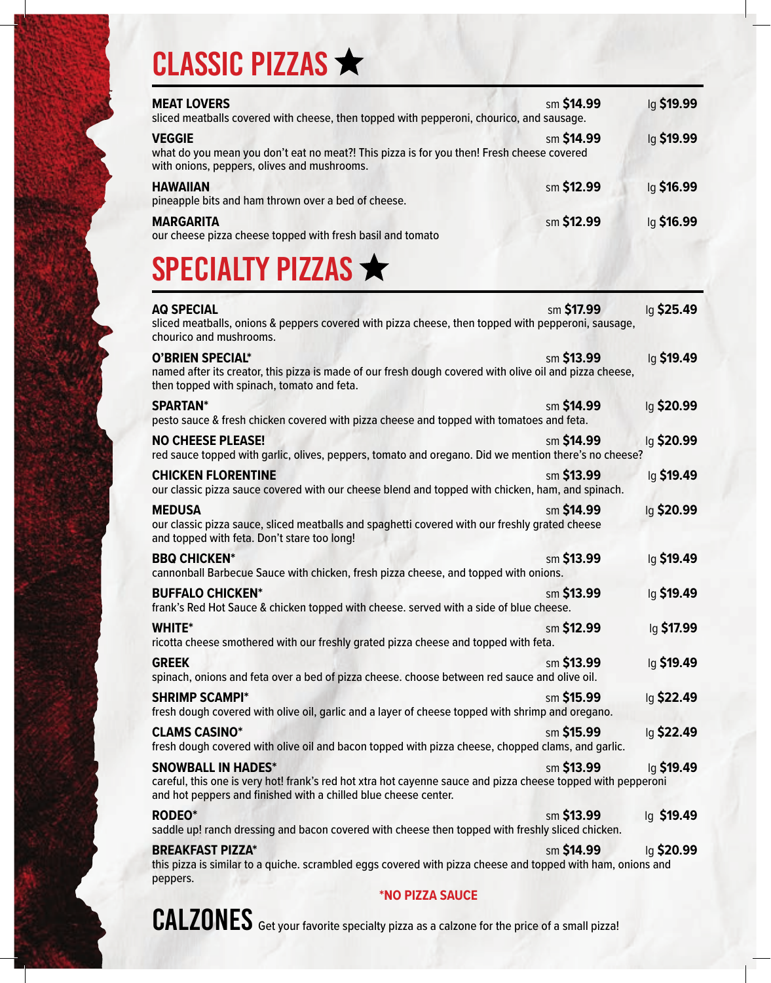# CLASSIC PIZZAS ★

| <b>MEAT LOVERS</b><br>sliced meatballs covered with cheese, then topped with pepperoni, chourico, and sausage.                                            | sm \$14.99 | lg \$19.99 |
|-----------------------------------------------------------------------------------------------------------------------------------------------------------|------------|------------|
| <b>VEGGIE</b><br>what do you mean you don't eat no meat?! This pizza is for you then! Fresh cheese covered<br>with onions, peppers, olives and mushrooms. | sm \$14.99 | lg \$19.99 |
| <b>HAWAIIAN</b><br>pineapple bits and ham thrown over a bed of cheese.                                                                                    | sm \$12.99 | lg \$16.99 |
| <b>MARGARITA</b><br>our cheese pizza cheese topped with fresh basil and tomato                                                                            | sm \$12.99 | lg \$16.99 |

### SPECIALTY PIZZAS

| <b>AQ SPECIAL</b><br>sliced meatballs, onions & peppers covered with pizza cheese, then topped with pepperoni, sausage,<br>chourico and mushrooms.                                                           | sm \$17.99 | lg \$25.49 |
|--------------------------------------------------------------------------------------------------------------------------------------------------------------------------------------------------------------|------------|------------|
| <b>O'BRIEN SPECIAL*</b><br>named after its creator, this pizza is made of our fresh dough covered with olive oil and pizza cheese,<br>then topped with spinach, tomato and feta.                             | sm \$13.99 | lg \$19.49 |
| <b>SPARTAN*</b><br>pesto sauce & fresh chicken covered with pizza cheese and topped with tomatoes and feta.                                                                                                  | sm \$14.99 | lg \$20.99 |
| <b>NO CHEESE PLEASE!</b><br>red sauce topped with garlic, olives, peppers, tomato and oregano. Did we mention there's no cheese?                                                                             | sm \$14.99 | lg \$20.99 |
| <b>CHICKEN FLORENTINE</b><br>our classic pizza sauce covered with our cheese blend and topped with chicken, ham, and spinach.                                                                                | sm \$13.99 | lg \$19.49 |
| <b>MEDUSA</b><br>our classic pizza sauce, sliced meatballs and spaghetti covered with our freshly grated cheese<br>and topped with feta. Don't stare too long!                                               | sm \$14.99 | lg \$20.99 |
| <b>BBQ CHICKEN*</b><br>cannonball Barbecue Sauce with chicken, fresh pizza cheese, and topped with onions.                                                                                                   | sm \$13.99 | lg \$19.49 |
| <b>BUFFALO CHICKEN*</b><br>frank's Red Hot Sauce & chicken topped with cheese. served with a side of blue cheese.                                                                                            | sm \$13.99 | lg \$19.49 |
| <b>WHITE*</b><br>ricotta cheese smothered with our freshly grated pizza cheese and topped with feta.                                                                                                         | sm \$12.99 | lg \$17.99 |
| <b>GREEK</b><br>spinach, onions and feta over a bed of pizza cheese. choose between red sauce and olive oil.                                                                                                 | sm \$13.99 | lg \$19.49 |
| <b>SHRIMP SCAMPI*</b><br>fresh dough covered with olive oil, garlic and a layer of cheese topped with shrimp and oregano.                                                                                    | sm \$15.99 | lg \$22.49 |
| <b>CLAMS CASINO*</b><br>fresh dough covered with olive oil and bacon topped with pizza cheese, chopped clams, and garlic.                                                                                    | sm \$15.99 | lg \$22.49 |
| <b>SNOWBALL IN HADES*</b><br>careful, this one is very hot! frank's red hot xtra hot cayenne sauce and pizza cheese topped with pepperoni<br>and hot peppers and finished with a chilled blue cheese center. | sm \$13.99 | lg \$19.49 |
| <b>RODEO*</b><br>saddle up! ranch dressing and bacon covered with cheese then topped with freshly sliced chicken.                                                                                            | sm \$13.99 | lg \$19.49 |
| <b>BREAKFAST PIZZA*</b><br>this pizza is similar to a quiche. scrambled eggs covered with pizza cheese and topped with ham, onions and<br>peppers.<br>$*$ NIA DI77A CALICE                                   | sm \$14.99 | lg \$20.99 |

#### **\*NO PIZZA SAUCE**



CALZONES Get your favorite specialty pizza as a calzone for the price of a small pizza!